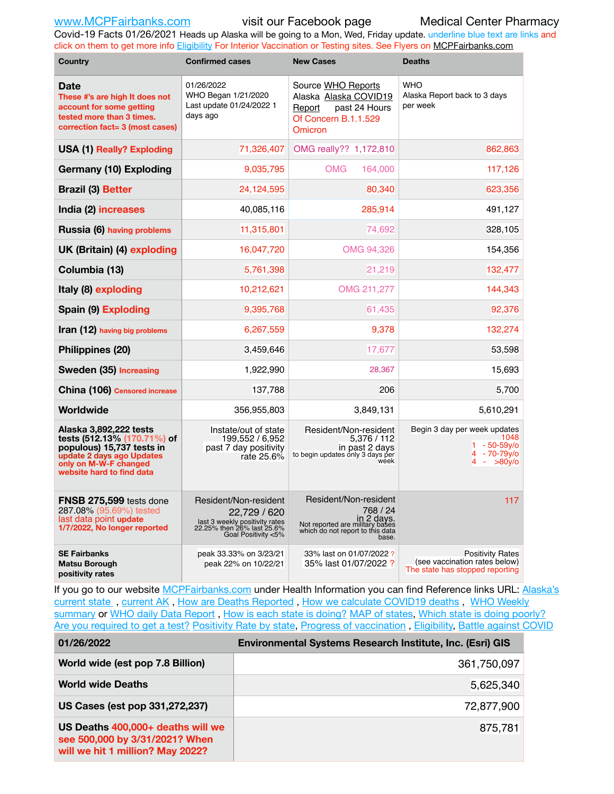Covid-19 Facts 01/26/2021 Heads up Alaska will be going to a Mon, Wed, Friday update. underline blue text are links and click on them to get more info [Eligibility](http://dhss.alaska.gov/dph/Epi/id/Pages/COVID-19/VaccineAvailability.aspx) For Interior Vaccination or Testing sites. See Flyers on [MCPFairbanks.com](http://www.MCPFairbanks.com)

| <b>Country</b>                                                                                                                                                        | <b>Confirmed cases</b>                                                                                                       | <b>New Cases</b>                                                                                                                | <b>Deaths</b>                                                                               |  |  |
|-----------------------------------------------------------------------------------------------------------------------------------------------------------------------|------------------------------------------------------------------------------------------------------------------------------|---------------------------------------------------------------------------------------------------------------------------------|---------------------------------------------------------------------------------------------|--|--|
| <b>Date</b><br>These #'s are high It does not<br>account for some getting<br>tested more than 3 times.<br>correction fact= 3 (most cases)                             | 01/26/2022<br>WHO Began 1/21/2020<br>Last update 01/24/2022 1<br>days ago                                                    | Source WHO Reports<br>Alaska Alaska COVID19<br>Report<br>past 24 Hours<br>Of Concern B.1.1.529<br>Omicron                       | <b>WHO</b><br>Alaska Report back to 3 days<br>per week                                      |  |  |
| <b>USA (1) Really? Exploding</b>                                                                                                                                      | 71,326,407                                                                                                                   | OMG really?? 1,172,810                                                                                                          | 862,863                                                                                     |  |  |
| <b>Germany (10) Exploding</b>                                                                                                                                         | 9,035,795                                                                                                                    | <b>OMG</b><br>164,000                                                                                                           | 117,126                                                                                     |  |  |
| <b>Brazil (3) Better</b>                                                                                                                                              | 24,124,595                                                                                                                   | 80,340                                                                                                                          | 623,356                                                                                     |  |  |
| India (2) increases                                                                                                                                                   | 40,085,116                                                                                                                   | 285,914                                                                                                                         | 491,127                                                                                     |  |  |
| Russia (6) having problems                                                                                                                                            | 11,315,801                                                                                                                   | 74,692                                                                                                                          | 328,105                                                                                     |  |  |
| UK (Britain) (4) exploding                                                                                                                                            | 16,047,720                                                                                                                   | OMG 94,326                                                                                                                      | 154,356                                                                                     |  |  |
| Columbia (13)                                                                                                                                                         | 5,761,398                                                                                                                    | 21,219                                                                                                                          | 132,477                                                                                     |  |  |
| Italy (8) exploding                                                                                                                                                   | 10,212,621                                                                                                                   | OMG 211,277                                                                                                                     | 144,343                                                                                     |  |  |
| Spain (9) Exploding                                                                                                                                                   | 9,395,768                                                                                                                    | 61,435                                                                                                                          | 92,376                                                                                      |  |  |
| Iran (12) having big problems                                                                                                                                         | 6,267,559                                                                                                                    | 9,378                                                                                                                           | 132,274                                                                                     |  |  |
| Philippines (20)                                                                                                                                                      | 3,459,646                                                                                                                    | 17,677                                                                                                                          | 53,598                                                                                      |  |  |
| Sweden (35) Increasing                                                                                                                                                | 1,922,990                                                                                                                    | 28,367                                                                                                                          | 15,693                                                                                      |  |  |
| China (106) Censored increase                                                                                                                                         | 137,788                                                                                                                      | 206                                                                                                                             | 5,700                                                                                       |  |  |
| Worldwide                                                                                                                                                             | 356,955,803                                                                                                                  | 3,849,131                                                                                                                       | 5,610,291                                                                                   |  |  |
| Alaska 3,892,222 tests<br>tests (512.13% (170.71%) of<br>populous) 15,737 tests in<br>update 2 days ago Updates<br>only on M-W-F changed<br>website hard to find data | Instate/out of state<br>199,552 / 6,952<br>past 7 day positivity<br>rate 25.6%                                               | Resident/Non-resident<br>5,376 / 112<br>in past 2 days<br>to begin updates only 3 days per<br>week                              | Begin 3 day per week updates<br>1048<br>$1 - 50 - 59$ y/o<br>4 - 70-79y/o<br>4 -<br>>80y/c  |  |  |
| FNSB 275,599 tests done<br>287.08% (95.69%) tested<br>last data point update<br>1/7/2022, No longer reported                                                          | Resident/Non-resident<br>22,729 / 620<br>last 3 weekly positivity rates<br>22.25% then 26% last 25.6%<br>Goal Positivity <5% | Resident/Non-resident<br>768 / 24<br>in 2 days.<br>Not reported are military bases<br>which do not report to this data<br>base. | 117                                                                                         |  |  |
| <b>SE Fairbanks</b><br>Matsu Borough<br>positivity rates                                                                                                              | peak 33.33% on 3/23/21<br>peak 22% on 10/22/21                                                                               | 33% last on 01/07/2022?<br>35% last 01/07/2022 ?                                                                                | <b>Positivity Rates</b><br>(see vaccination rates below)<br>The state has stopped reporting |  |  |

If you go to our website [MCPFairbanks.com](http://www.MCPFairbanks.com) under Health Information you can find Reference links URL: Alaska's [current state](https://coronavirus-response-alaska-dhss.hub.arcgis.com) , [current AK](http://dhss.alaska.gov/dph/Epi/id/Pages/COVID-19/communications.aspx#cases) , [How are Deaths Reported](http://dhss.alaska.gov/dph/Epi/id/Pages/COVID-19/deathcounts.aspx) , [How we calculate COVID19 deaths](https://coronavirus-response-alaska-dhss.hub.arcgis.com/search?collection=Document&groupIds=41ccb3344ebc4bd682c74073eba21f42) , [WHO Weekly](http://www.who.int)  [summary](http://www.who.int) or [WHO daily Data Report](https://covid19.who.int/table), [How is each state is doing?](https://www.msn.com/en-us/news/us/state-by-state-coronavirus-news/ar-BB13E1PX?fbclid=IwAR0_OBJH7lSyTN3ug_MsOeFnNgB1orTa9OBgilKJ7dhnwlVvHEsptuKkj1c) [MAP of states,](https://www.nationalgeographic.com/science/graphics/graphic-tracking-coronavirus-infections-us?cmpid=org=ngp::mc=crm-email::src=ngp::cmp=editorial::add=SpecialEdition_20210305&rid=B9A6DF5992658E8E35CE023113CFEA4C) [Which state is doing poorly?](https://bestlifeonline.com/covid-outbreak-your-state/?utm_source=nsltr&utm_medium=email&utm_content=covid-outbreak-your-state&utm_campaign=launch) [Are you required to get a test?](http://dhss.alaska.gov/dph/Epi/id/SiteAssets/Pages/HumanCoV/Whattodoafteryourtest.pdf) [Positivity Rate by state](https://coronavirus.jhu.edu/testing/individual-states/alaska), Progress of vaccination, [Eligibility,](http://dhss.alaska.gov/dph/Epi/id/Pages/COVID-19/VaccineAvailability.aspx) [Battle against COVID](https://www.nationalgeographic.com/science/graphics/graphic-tracking-coronavirus-infections-us?cmpid=org=ngp::mc=crm-email::src=ngp::cmp=editorial::add=SpecialEdition_20210219&rid=B9A6DF5992658E8E35CE023113CFEA4C)

| 01/26/2022                                                                                              | Environmental Systems Research Institute, Inc. (Esri) GIS |  |  |  |  |  |
|---------------------------------------------------------------------------------------------------------|-----------------------------------------------------------|--|--|--|--|--|
| World wide (est pop 7.8 Billion)                                                                        | 361,750,097                                               |  |  |  |  |  |
| <b>World wide Deaths</b>                                                                                | 5,625,340                                                 |  |  |  |  |  |
| US Cases (est pop 331,272,237)                                                                          | 72,877,900                                                |  |  |  |  |  |
| US Deaths 400,000+ deaths will we<br>see 500,000 by 3/31/2021? When<br>will we hit 1 million? May 2022? | 875,781                                                   |  |  |  |  |  |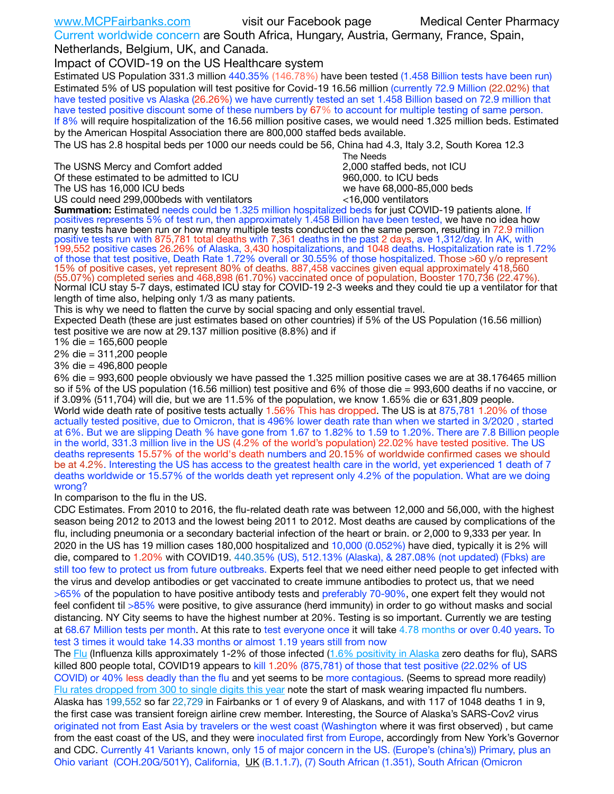[www.MCPFairbanks.com](http://www.MCPFairbanks.com) visit our Facebook page Medical Center Pharmacy Current worldwide concern are South Africa, Hungary, Austria, Germany, France, Spain, Netherlands, Belgium, UK, and Canada. Impact of COVID-19 on the US Healthcare system Estimated US Population 331.3 million 440.35% (146.78%) have been tested (1.458 Billion tests have been run) Estimated 5% of US population will test positive for Covid-19 16.56 million (currently 72.9 Million (22.02%) that have tested positive vs Alaska (26.26%) we have currently tested an set 1.458 Billion based on 72.9 million that have tested positive discount some of these numbers by 67% to account for multiple testing of same person. If 8% will require hospitalization of the 16.56 million positive cases, we would need 1.325 million beds. Estimated by the American Hospital Association there are 800,000 staffed beds available. The US has 2.8 hospital beds per 1000 our needs could be 56, China had 4.3, Italy 3.2, South Korea 12.3 The Needs The USNS Mercy and Comfort added 2,000 staffed beds, not ICU Of these estimated to be admitted to ICU 860,000. to ICU beds The US has 16,000 ICU beds we have 68,000-85,000 beds US could need 299,000beds with ventilators  $\leq$ 16,000 ventilators **Summation:** Estimated needs could be 1.325 million hospitalized beds for just COVID-19 patients alone. If positives represents 5% of test run, then approximately 1.458 Billion have been tested, we have no idea how many tests have been run or how many multiple tests conducted on the same person, resulting in 72.9 million positive tests run with 875,781 total deaths with 7,361 deaths in the past 2 days, ave 1,312/day. In AK, with 199,552 positive cases 26.26% of Alaska, 3,430 hospitalizations, and 1048 deaths. Hospitalization rate is 1.72% of those that test positive, Death Rate 1.72% overall or 30.55% of those hospitalized. Those >60 y/o represent 15% of positive cases, yet represent 80% of deaths. 887,458 vaccines given equal approximately 418,560 (55.07%) completed series and 468,898 (61.70%) vaccinated once of population, Booster 170,736 (22.47%). Normal ICU stay 5-7 days, estimated ICU stay for COVID-19 2-3 weeks and they could tie up a ventilator for that length of time also, helping only 1/3 as many patients. This is why we need to flatten the curve by social spacing and only essential travel. Expected Death (these are just estimates based on other countries) if 5% of the US Population (16.56 million) test positive we are now at 29.137 million positive (8.8%) and if 1% die = 165,600 people 2% die = 311,200 people 3% die = 496,800 people 6% die = 993,600 people obviously we have passed the 1.325 million positive cases we are at 38.176465 million so if 5% of the US population (16.56 million) test positive and 6% of those die = 993,600 deaths if no vaccine, or if 3.09% (511,704) will die, but we are 11.5% of the population, we know 1.65% die or 631,809 people. World wide death rate of positive tests actually 1.56% This has dropped. The US is at 875,781 1.20% of those actually tested positive, due to Omicron, that is 496% lower death rate than when we started in 3/2020 , started at 6%. But we are slipping Death % have gone from 1.67 to 1.82% to 1.59 to 1.20%. There are 7.8 Billion people in the world, 331.3 million live in the US (4.2% of the world's population) 22.02% have tested positive. The US deaths represents 15.57% of the world's death numbers and 20.15% of worldwide confirmed cases we should be at 4.2%. Interesting the US has access to the greatest health care in the world, yet experienced 1 death of 7 deaths worldwide or 15.57% of the worlds death yet represent only 4.2% of the population. What are we doing

In comparison to the flu in the US.

wrong?

CDC Estimates. From 2010 to 2016, the flu-related death rate was between 12,000 and 56,000, with the highest season being 2012 to 2013 and the lowest being 2011 to 2012. Most deaths are caused by complications of the flu, including pneumonia or a secondary bacterial infection of the heart or brain. or 2,000 to 9,333 per year. In 2020 in the US has 19 million cases 180,000 hospitalized and 10,000 (0.052%) have died, typically it is 2% will die, compared to 1.20% with COVID19. 440.35% (US), 512.13% (Alaska), & 287.08% (not updated) (Fbks) are still too few to protect us from future outbreaks. Experts feel that we need either need people to get infected with the virus and develop antibodies or get vaccinated to create immune antibodies to protect us, that we need >65% of the population to have positive antibody tests and preferably 70-90%, one expert felt they would not feel confident til >85% were positive, to give assurance (herd immunity) in order to go without masks and social distancing. NY City seems to have the highest number at 20%. Testing is so important. Currently we are testing at 68.67 Million tests per month. At this rate to test everyone once it will take 4.78 months or over 0.40 years. To test 3 times it would take 14.33 months or almost 1.19 years still from now

The [Flu](https://lnks.gd/l/eyJhbGciOiJIUzI1NiJ9.eyJidWxsZXRpbl9saW5rX2lkIjoxMDMsInVyaSI6ImJwMjpjbGljayIsImJ1bGxldGluX2lkIjoiMjAyMTAyMjYuMzYwNDA3NTEiLCJ1cmwiOiJodHRwczovL3d3dy5jZGMuZ292L2ZsdS93ZWVrbHkvb3ZlcnZpZXcuaHRtIn0.ePMA_hsZ-pTnhWSyg1gHvHWYTu2XceVOt0JejxvP1WE/s/500544915/br/98428119752-l) (Influenza kills approximately 1-2% of those infected ([1.6% positivity in Alaska](http://dhss.alaska.gov/dph/Epi/id/SiteAssets/Pages/influenza/trends/Snapshot.pdf) zero deaths for flu), SARS killed 800 people total, COVID19 appears to kill 1.20% (875,781) of those that test positive (22.02% of US COVID) or 40% less deadly than the flu and yet seems to be more contagious. (Seems to spread more readily) [Flu rates dropped from 300 to single digits this year](https://lnks.gd/l/eyJhbGciOiJIUzI1NiJ9.eyJidWxsZXRpbl9saW5rX2lkIjoxMDEsInVyaSI6ImJwMjpjbGljayIsImJ1bGxldGluX2lkIjoiMjAyMTAyMjYuMzYwNDA3NTEiLCJ1cmwiOiJodHRwOi8vZGhzcy5hbGFza2EuZ292L2RwaC9FcGkvaWQvUGFnZXMvaW5mbHVlbnphL2ZsdWluZm8uYXNweCJ9.oOe3nt2fww6XpsNhb4FZfmtPfPa-irGaldpkURBJhSo/s/500544915/br/98428119752-l) note the start of mask wearing impacted flu numbers. Alaska has 199,552 so far 22,729 in Fairbanks or 1 of every 9 of Alaskans, and with 117 of 1048 deaths 1 in 9, the first case was transient foreign airline crew member. Interesting, the Source of Alaska's SARS-Cov2 virus originated not from East Asia by travelers or the west coast (Washington where it was first observed) , but came from the east coast of the US, and they were inoculated first from Europe, accordingly from New York's Governor and CDC. Currently 41 Variants known, only 15 of major concern in the US. (Europe's (china's)) Primary, plus an Ohio variant (COH.20G/501Y), California, [UK](https://www.cdc.gov/coronavirus/2019-ncov/transmission/variant-cases.html) (B.1.1.7), (7) South African (1.351), South African (Omicron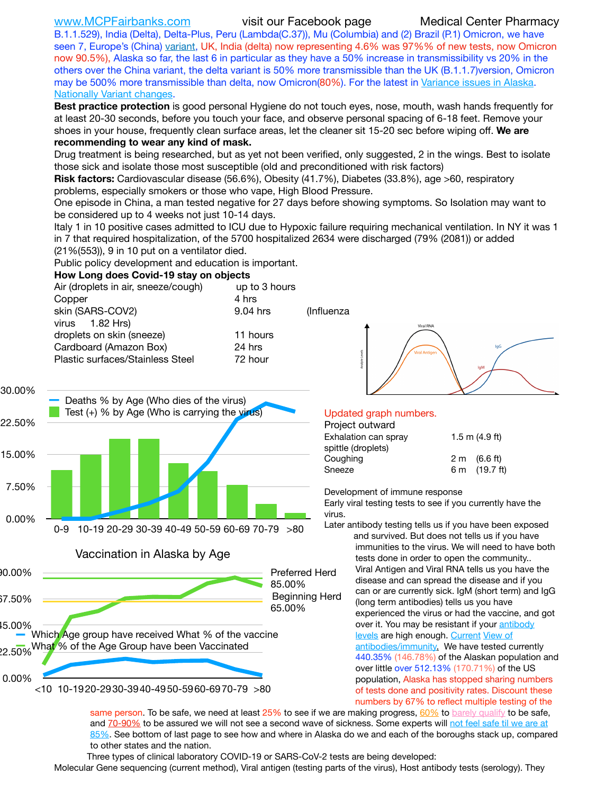[www.MCPFairbanks.com](http://www.MCPFairbanks.com) visit our Facebook page Medical Center Pharmacy

B.1.1.529), India (Delta), Delta-Plus, Peru (Lambda(C.37)), Mu (Columbia) and (2) Brazil (P.1) Omicron, we have seen 7, Europe's (China) [variant,](https://www.webmd.com/lung/news/20210318/cdc-who-create-threat-levels-for-covid-variants?ecd=wnl_cvd_031921&ctr=wnl-cvd-031921&mb=kYbf7DsHb7YGjh/1RUkcAW0T6iorImAU1TDZh18RYs0=_Support_titleLink_2) UK, India (delta) now representing 4.6% was 97%% of new tests, now Omicron now 90.5%), Alaska so far, the last 6 in particular as they have a 50% increase in transmissibility vs 20% in the others over the China variant, the delta variant is 50% more transmissible than the UK (B.1.1.7)version, Omicron may be 500% more transmissible than delta, now Omicron(80%). For the latest in [Variance issues in Alaska](https://akvariants.github.io). [Nationally Variant changes](https://covid.cdc.gov/covid-data-tracker/#variant-proportions).

**Best practice protection** is good personal Hygiene do not touch eyes, nose, mouth, wash hands frequently for at least 20-30 seconds, before you touch your face, and observe personal spacing of 6-18 feet. Remove your shoes in your house, frequently clean surface areas, let the cleaner sit 15-20 sec before wiping off. **We are recommending to wear any kind of mask.**

Drug treatment is being researched, but as yet not been verified, only suggested, 2 in the wings. Best to isolate those sick and isolate those most susceptible (old and preconditioned with risk factors)

**Risk factors:** Cardiovascular disease (56.6%), Obesity (41.7%), Diabetes (33.8%), age >60, respiratory problems, especially smokers or those who vape, High Blood Pressure.

One episode in China, a man tested negative for 27 days before showing symptoms. So Isolation may want to be considered up to 4 weeks not just 10-14 days.

Italy 1 in 10 positive cases admitted to ICU due to Hypoxic failure requiring mechanical ventilation. In NY it was 1 in 7 that required hospitalization, of the 5700 hospitalized 2634 were discharged (79% (2081)) or added (21%(553)), 9 in 10 put on a ventilator died.

Public policy development and education is important.

### **How Long does Covid-19 stay on objects**

| Air (droplets in air, sneeze/cough)<br>Copper | up to 3 hours<br>4 hrs |            |
|-----------------------------------------------|------------------------|------------|
| skin (SARS-COV2)                              | 9.04 hrs               | (Influenza |
| virus $1.82$ Hrs)                             |                        |            |
| droplets on skin (sneeze)                     | 11 hours               |            |
| Cardboard (Amazon Box)                        | 24 hrs                 |            |
| Plastic surfaces/Stainless Steel              | 72 hour                |            |





### Updated graph numbers.

| Project outward      |                        |  |  |  |  |
|----------------------|------------------------|--|--|--|--|
| Exhalation can spray | $1.5$ m $(4.9$ ft)     |  |  |  |  |
| spittle (droplets)   |                        |  |  |  |  |
| Coughing             | $2 \text{ m}$ (6.6 ft) |  |  |  |  |
| Sneeze               | 6 m (19.7 ft)          |  |  |  |  |
|                      |                        |  |  |  |  |

Development of immune response

Early viral testing tests to see if you currently have the virus.

Later antibody testing tells us if you have been exposed and survived. But does not tells us if you have immunities to the virus. We will need to have both tests done in order to open the community.. Viral Antigen and Viral RNA tells us you have the disease and can spread the disease and if you can or are currently sick. IgM (short term) and IgG (long term antibodies) tells us you have experienced the virus or had the vaccine, and got over it. You may be resistant if your antibody [levels](https://www.cdc.gov/coronavirus/2019-ncov/lab/resources/antibody-tests.html) are high enough. [Current](https://l.facebook.com/l.php?u=https://www.itv.com/news/2020-10-26/covid-19-antibody-levels-reduce-over-time-study-finds?fbclid=IwAR3Dapzh1qIH1EIOdUQI2y8THf7jfA4KBCaJz8Qg-8xe1YsrR4nsAHDIXSY&h=AT30nut8pkqp0heVuz5W2rT2WFFm-2Ab52BsJxZZCNlGsX58IpPkuVEPULbIUV_M16MAukx1Kwb657DPXxsgDN1rpOQ4gqBtQsmVYiWpnHPJo2RQsU6CPMd14lgLnQnFWxfVi6zvmw&__tn__=-UK-R&c%5B0%5D=AT1GaRAfR_nGAyqcn7TI1-PpvqOqEKXHnz6TDWvRStMnOSH7boQDvTiwTOc6VId9UES6LKiOmm2m88wKCoolkJyOFvakt2Z1Mw8toYWGGoWW23r0MNVBl7cYJXB_UOvGklNHaNnaNr1_S7NhT3BSykNOBg) [View of](https://www.livescience.com/antibodies.html)  [antibodies/immunity](https://www.livescience.com/antibodies.html)[.](https://www.itv.com/news/2020-10-26/covid-19-antibody-levels-reduce-over-time-study-finds) We have tested currently 440.35% (146.78%) of the Alaskan population and over little over 512.13% (170.71%) of the US population, Alaska has stopped sharing numbers of tests done and positivity rates. Discount these numbers by 67% to reflect multiple testing of the

same person. To be safe, we need at least  $25\%$  to see if we are making progress,  $60\%$  to [barely qualify](https://www.nature.com/articles/d41586-020-02948-4) to be safe, and [70-90%](https://www.mayoclinic.org/herd-immunity-and-coronavirus/art-20486808) to be assured we will not see a second wave of sickness. Some experts will not feel safe til we are at [85%](https://www.bannerhealth.com/healthcareblog/teach-me/what-is-herd-immunity). See bottom of last page to see how and where in Alaska do we and each of the boroughs stack up, compared to other states and the nation.

Three types of clinical laboratory COVID-19 or SARS-CoV-2 tests are being developed:

Molecular Gene sequencing (current method), Viral antigen (testing parts of the virus), Host antibody tests (serology). They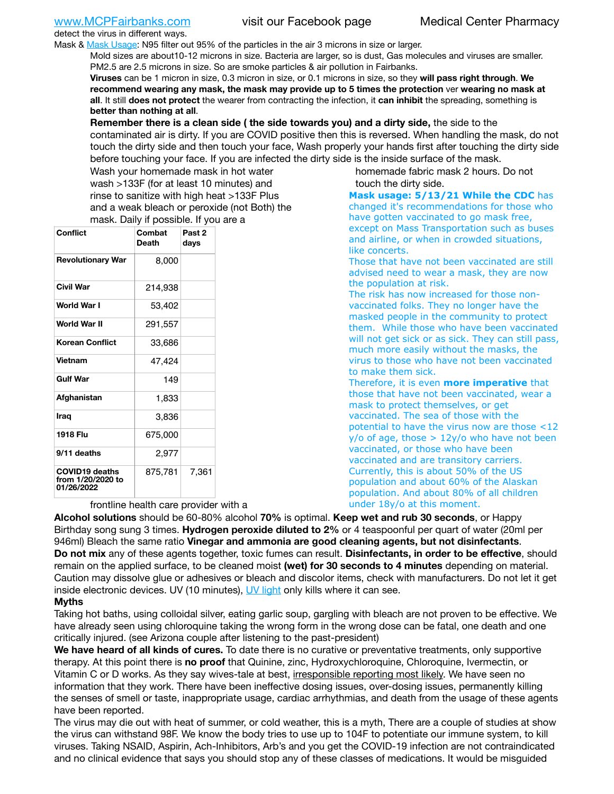detect the virus in different ways.

Mask & [Mask Usage:](https://www.nationalgeographic.com/history/2020/03/how-cities-flattened-curve-1918-spanish-flu-pandemic-coronavirus/) N95 filter out 95% of the particles in the air 3 microns in size or larger.

Mold sizes are about10-12 microns in size. Bacteria are larger, so is dust, Gas molecules and viruses are smaller. PM2.5 are 2.5 microns in size. So are smoke particles & air pollution in Fairbanks.

**Viruses** can be 1 micron in size, 0.3 micron in size, or 0.1 microns in size, so they **will pass right through**. **We recommend wearing any mask, the mask may provide up to 5 times the protection** ver **wearing no mask at all**. It still **does not protect** the wearer from contracting the infection, it **can inhibit** the spreading, something is **better than nothing at all**.

**Remember there is a clean side ( the side towards you) and a dirty side,** the side to the contaminated air is dirty. If you are COVID positive then this is reversed. When handling the mask, do not touch the dirty side and then touch your face, Wash properly your hands first after touching the dirty side before touching your face. If you are infected the dirty side is the inside surface of the mask.

Wash your homemade mask in hot water wash >133F (for at least 10 minutes) and rinse to sanitize with high heat >133F Plus and a weak bleach or peroxide (not Both) the mask. Daily if possible. If you are a

| <b>Conflict</b>                                          | Combat<br>Death | Past <sub>2</sub><br>days |  |  |  |
|----------------------------------------------------------|-----------------|---------------------------|--|--|--|
| <b>Revolutionary War</b>                                 | 8,000           |                           |  |  |  |
| Civil War                                                | 214,938         |                           |  |  |  |
| World War I                                              | 53,402          |                           |  |  |  |
| World War II                                             | 291,557         |                           |  |  |  |
| <b>Korean Conflict</b>                                   | 33,686          |                           |  |  |  |
| Vietnam                                                  | 47,424          |                           |  |  |  |
| <b>Gulf War</b>                                          | 149             |                           |  |  |  |
| Afghanistan                                              | 1,833           |                           |  |  |  |
| Iraq                                                     | 3,836           |                           |  |  |  |
| 1918 Flu                                                 | 675,000         |                           |  |  |  |
| 9/11 deaths                                              | 2,977           |                           |  |  |  |
| <b>COVID19 deaths</b><br>from 1/20/2020 to<br>01/26/2022 | 875,781         | 7,361                     |  |  |  |

frontline health care provider with a

homemade fabric mask 2 hours. Do not touch the dirty side.

**Mask usage: 5/13/21 While the CDC** has changed it's recommendations for those who have gotten vaccinated to go mask free, except on Mass Transportation such as buses and airline, or when in crowded situations, like concerts.

Those that have not been vaccinated are still advised need to wear a mask, they are now the population at risk.

The risk has now increased for those nonvaccinated folks. They no longer have the masked people in the community to protect them. While those who have been vaccinated will not get sick or as sick. They can still pass, much more easily without the masks, the virus to those who have not been vaccinated to make them sick.

Therefore, it is even **more imperative** that those that have not been vaccinated, wear a mask to protect themselves, or get vaccinated. The sea of those with the potential to have the virus now are those <12  $y$ /o of age, those > 12y/o who have not been vaccinated, or those who have been vaccinated and are transitory carriers. Currently, this is about 50% of the US population and about 60% of the Alaskan population. And about 80% of all children under 18y/o at this moment.

**Alcohol solutions** should be 60-80% alcohol **70%** is optimal. **Keep wet and rub 30 seconds**, or Happy Birthday song sung 3 times. **Hydrogen peroxide diluted to 2%** or 4 teaspoonful per quart of water (20ml per 946ml) Bleach the same ratio **Vinegar and ammonia are good cleaning agents, but not disinfectants**. **Do not mix** any of these agents together, toxic fumes can result. **Disinfectants, in order to be effective**, should remain on the applied surface, to be cleaned moist **(wet) for 30 seconds to 4 minutes** depending on material. Caution may dissolve glue or adhesives or bleach and discolor items, check with manufacturers. Do not let it get inside electronic devices. UV (10 minutes), [UV light](http://www.docreviews.me/best-uv-boxes-2020/?fbclid=IwAR3bvFtXB48OoBBSvYvTEnKuHNPbipxM6jUo82QUSw9wckxjC7wwRZWabGw) only kills where it can see.

### **Myths**

Taking hot baths, using colloidal silver, eating garlic soup, gargling with bleach are not proven to be effective. We have already seen using chloroquine taking the wrong form in the wrong dose can be fatal, one death and one critically injured. (see Arizona couple after listening to the past-president)

**We have heard of all kinds of cures.** To date there is no curative or preventative treatments, only supportive therapy. At this point there is **no proof** that Quinine, zinc, Hydroxychloroquine, Chloroquine, Ivermectin, or Vitamin C or D works. As they say wives-tale at best, irresponsible reporting most likely. We have seen no information that they work. There have been ineffective dosing issues, over-dosing issues, permanently killing the senses of smell or taste, inappropriate usage, cardiac arrhythmias, and death from the usage of these agents have been reported.

The virus may die out with heat of summer, or cold weather, this is a myth, There are a couple of studies at show the virus can withstand 98F. We know the body tries to use up to 104F to potentiate our immune system, to kill viruses. Taking NSAID, Aspirin, Ach-Inhibitors, Arb's and you get the COVID-19 infection are not contraindicated and no clinical evidence that says you should stop any of these classes of medications. It would be misguided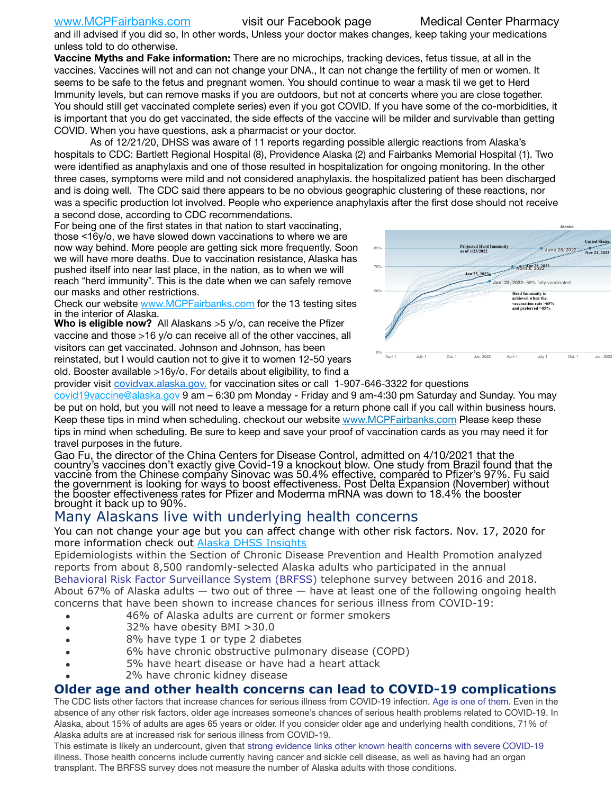[www.MCPFairbanks.com](http://www.MCPFairbanks.com) visit our Facebook page Medical Center Pharmacy

and ill advised if you did so, In other words, Unless your doctor makes changes, keep taking your medications unless told to do otherwise.

**Vaccine Myths and Fake information:** There are no microchips, tracking devices, fetus tissue, at all in the vaccines. Vaccines will not and can not change your DNA., It can not change the fertility of men or women. It seems to be safe to the fetus and pregnant women. You should continue to wear a mask til we get to Herd Immunity levels, but can remove masks if you are outdoors, but not at concerts where you are close together. You should still get vaccinated complete series) even if you got COVID. If you have some of the co-morbidities, it is important that you do get vaccinated, the side effects of the vaccine will be milder and survivable than getting COVID. When you have questions, ask a pharmacist or your doctor.

As of 12/21/20, DHSS was aware of 11 reports regarding possible allergic reactions from Alaska's hospitals to CDC: Bartlett Regional Hospital (8), Providence Alaska (2) and Fairbanks Memorial Hospital (1). Two were identified as anaphylaxis and one of those resulted in hospitalization for ongoing monitoring. In the other three cases, symptoms were mild and not considered anaphylaxis. the hospitalized patient has been discharged with the vaccinated with the cases, symptoms were mild and not considered anaphylaxis. the hospitalized patient h and is doing well. The CDC said there appears to be no obvious geographic clustering of these reactions, nor was a specific production lot involved. People who experience anaphylaxis after the first dose should not receive a second dose, according to CDC recommendations. been as United States

For being one of the first states in that nation to start vaccinating, those <16y/o, we have slowed down vaccinations to where we are now way behind. More people are getting sick more frequently. Soon we will have more deaths. Due to vaccination resistance, Alaska has pushed itself into near last place, in the nation, as to when we will reach "herd immunity". This is the date when we can safely remove our masks and other restrictions.

Check our website [www.MCPFairbanks.com](http://www.MCPFairbanks.com) for the 13 testing sites in the interior of Alaska.

**Who is eligible now?** All Alaskans >5 y/o, can receive the Pfizer vaccine and those >16 y/o can receive all of the other vaccines, all visitors can get vaccinated. Johnson and Johnson, has been reinstated, but I would caution not to give it to women 12-50 years old. Booster available >16y/o. For details about eligibility, to find a



provider visit [covidvax.alaska.gov.](https://lnks.gd/l/eyJhbGciOiJIUzI1NiJ9.eyJidWxsZXRpbl9saW5rX2lkIjoxMDYsInVyaSI6ImJwMjpjbGljayIsImJ1bGxldGluX2lkIjoiMjAyMTAxMjguMzQwODU3NjEiLCJ1cmwiOiJodHRwOi8vZGhzcy5hbGFza2EuZ292L2RwaC9FcGkvaWQvUGFnZXMvQ09WSUQtMTkvdmFjY2luZS5hc3B4In0.-Xwhl42jAWOMS7ewfS85uxwrwjohCso3Sb81DuDKtxU/s/500544915/br/93796640171-l) for vaccination sites or call 1-907-646-3322 for questions [covid19vaccine@alaska.gov](mailto:covid19vaccine@alaska.gov?subject=COVID19%20Vaccine%20questions) 9 am – 6:30 pm Monday - Friday and 9 am-4:30 pm Saturday and Sunday. You may be put on hold, but you will not need to leave a message for a return phone call if you call within business hours.

Keep these tips in mind when scheduling. checkout our website [www.MCPFairbanks.com](http://www.MCPFairbanks.com) Please keep these tips in mind when scheduling. Be sure to keep and save your proof of vaccination cards as you may need it for travel purposes in the future.

Gao Fu, the director of the China Centers for Disease Control, admitted on 4/10/2021 that the country's vaccines don't exactly give Covid-19 a knockout blow. One study from Brazil found that the vaccine from the Chinese company Sinovac was 50.4% effective, compared to Pfizer's 97%. Fu said the government is looking for ways to boost effectiveness. Post Delta Expansion (November) without<br>the booster effectiveness rates for Pfizer and Moderma mRNA was down to 18.4% the booster brought it back up to 90%.

# Many Alaskans live with underlying health concerns

You can not change your age but you can affect change with other risk factors. Nov. 17, 2020 for more information check out [Alaska DHSS Insights](http://dhss.alaska.gov/dph/Epi/id/Pages/COVID-19/blog/20201117.aspx)

Epidemiologists within the Section of Chronic Disease Prevention and Health Promotion analyzed reports from about 8,500 randomly-selected Alaska adults who participated in the annual [Behavioral Risk Factor Surveillance System \(BRFSS\)](http://dhss.alaska.gov/dph/Chronic/Pages/brfss/default.aspx) telephone survey between 2016 and 2018. About 67% of Alaska adults — two out of three — have at least one of the following ongoing health concerns that have been shown to increase chances for serious illness from COVID-19:

- 46% of Alaska adults are current or former smokers
- 32% have obesity BMI >30.0
- 8% have type 1 or type 2 diabetes
- 6% have chronic obstructive pulmonary disease (COPD)
- 5% have heart disease or have had a heart attack
- 2% have chronic kidney disease

## **Older age and other health concerns can lead to COVID-19 complications**

The CDC lists other factors that increase chances for serious illness from COVID-19 infection. [Age is one of them](https://www.cdc.gov/coronavirus/2019-ncov/need-extra-precautions/older-adults.html). Even in the absence of any other risk factors, older age increases someone's chances of serious health problems related to COVID-19. In Alaska, about 15% of adults are ages 65 years or older. If you consider older age and underlying health conditions, 71% of Alaska adults are at increased risk for serious illness from COVID-19.

This estimate is likely an undercount, given that [strong evidence links other known health concerns with severe COVID-19](https://www.cdc.gov/coronavirus/2019-ncov/need-extra-precautions/people-with-medical-conditions.html) illness. Those health concerns include currently having cancer and sickle cell disease, as well as having had an organ transplant. The BRFSS survey does not measure the number of Alaska adults with those conditions.